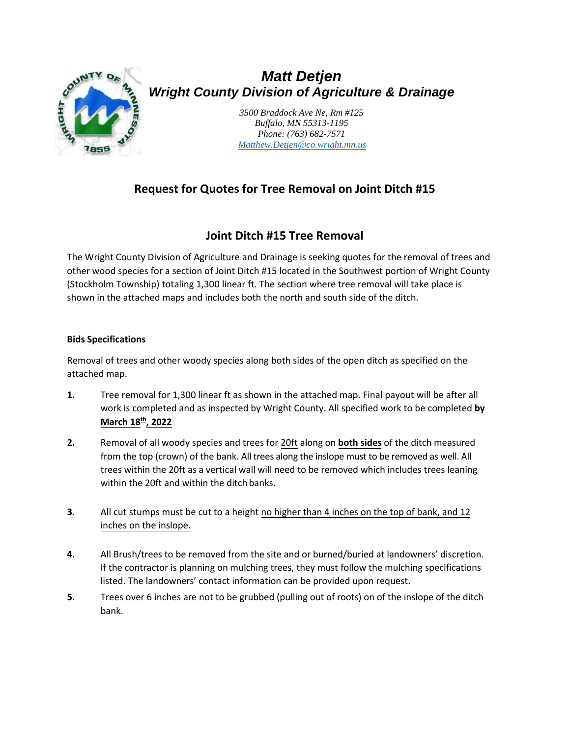

# *Matt Detjen Wright County Division of Agriculture & Drainage*

*3500 Braddock Ave Ne, Rm #125 Buffalo, MN 55313-1195 Phone: (763) 682-7571 [Matthew.Detjen@co.wright.mn.us](mailto:Matthew.Detjen@co.wright.mn.us)*

## **Request for Quotes for Tree Removal on Joint Ditch #15**

## **Joint Ditch #15 Tree Removal**

The Wright County Division of Agriculture and Drainage is seeking quotes for the removal of trees and other wood species for a section of Joint Ditch #15 located in the Southwest portion of Wright County (Stockholm Township) totaling 1,300 linear ft. The section where tree removal will take place is shown in the attached maps and includes both the north and south side of the ditch.

### **Bids Specifications**

Removal of trees and other woody species along both sides of the open ditch as specified on the attached map.

- **1.** Tree removal for 1,300 linear ft as shown in the attached map. Final payout will be after all work is completed and as inspected by Wright County. All specified work to be completed **by March 18 th , 2022**
- **2.** Removal of all woody species and trees for 20ft along on **both sides** of the ditch measured from the top (crown) of the bank. All trees along the inslope must to be removed as well. All trees within the 20ft as a vertical wall will need to be removed which includes trees leaning within the 20ft and within the ditch banks.
- **3.** All cut stumps must be cut to a height no higher than 4 inches on the top of bank, and 12 inches on the inslope.
- **4.** All Brush/trees to be removed from the site and or burned/buried at landowners' discretion. If the contractor is planning on mulching trees, they must follow the mulching specifications listed. The landowners' contact information can be provided upon request.
- **5.** Trees over 6 inches are not to be grubbed (pulling out of roots) on of the inslope of the ditch bank.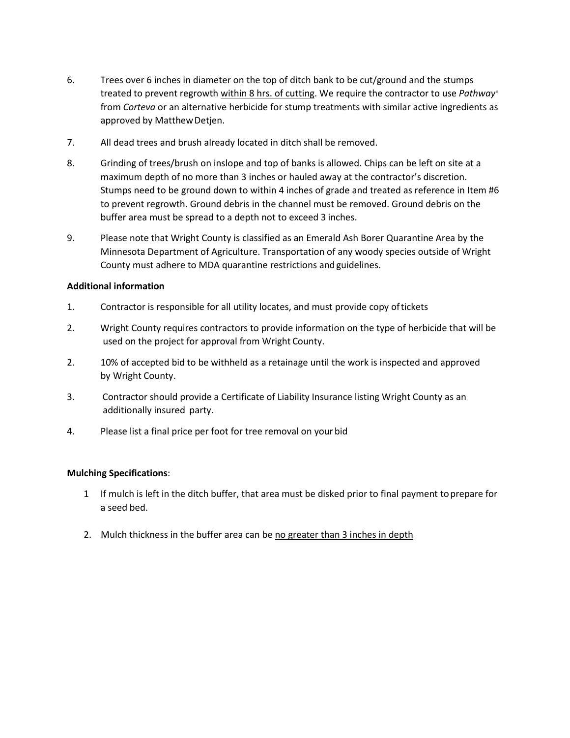- 6. Trees over 6 inches in diameter on the top of ditch bank to be cut/ground and the stumps treated to prevent regrowth within 8 hrs. of cutting. We require the contractor to use *Pathway®*  from *Corteva* or an alternative herbicide for stump treatments with similar active ingredients as approved by MatthewDetjen.
- 7. All dead trees and brush already located in ditch shall be removed.
- 8. Grinding of trees/brush on inslope and top of banks is allowed. Chips can be left on site at a maximum depth of no more than 3 inches or hauled away at the contractor's discretion. Stumps need to be ground down to within 4 inches of grade and treated as reference in Item #6 to prevent regrowth. Ground debris in the channel must be removed. Ground debris on the buffer area must be spread to a depth not to exceed 3 inches.
- 9. Please note that Wright County is classified as an Emerald Ash Borer Quarantine Area by the Minnesota Department of Agriculture. Transportation of any woody species outside of Wright County must adhere to MDA quarantine restrictions andguidelines.

#### **Additional information**

- 1. Contractor is responsible for all utility locates, and must provide copy oftickets
- 2. Wright County requires contractors to provide information on the type of herbicide that will be used on the project for approval from Wright County.
- 2. 10% of accepted bid to be withheld as a retainage until the work is inspected and approved by Wright County.
- 3. Contractor should provide a Certificate of Liability Insurance listing Wright County as an additionally insured party.
- 4. Please list a final price per foot for tree removal on your bid

#### **Mulching Specifications**:

- 1 If mulch is left in the ditch buffer, that area must be disked prior to final payment toprepare for a seed bed.
- 2. Mulch thickness in the buffer area can be no greater than 3 inches in depth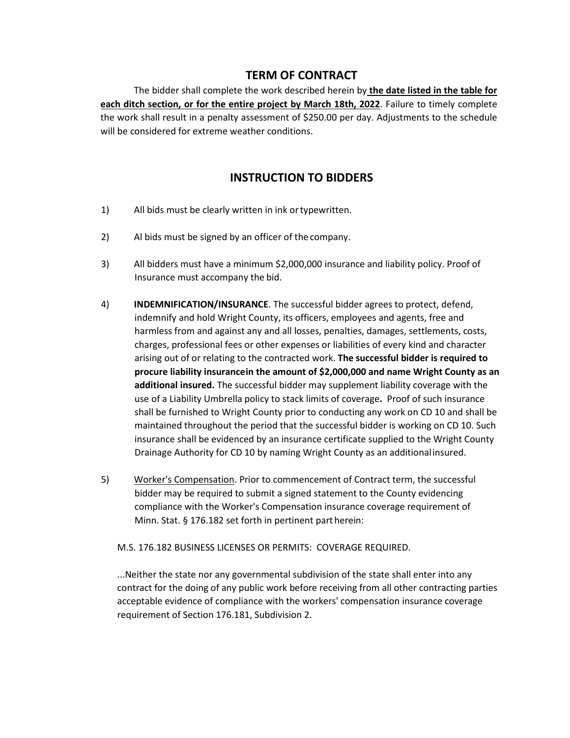### **TERM OF CONTRACT**

The bidder shall complete the work described herein by **the date listed in the table for each ditch section, or for the entire project by March 18th, 2022**. Failure to timely complete the work shall result in a penalty assessment of \$250.00 per day. Adjustments to the schedule will be considered for extreme weather conditions.

### **INSTRUCTION TO BIDDERS**

- 1) All bids must be clearly written in ink ortypewritten.
- 2) Al bids must be signed by an officer of the company.
- 3) All bidders must have a minimum \$2,000,000 insurance and liability policy. Proof of Insurance must accompany the bid.
- 4) **INDEMNIFICATION/INSURANCE**. The successful bidder agrees to protect, defend, indemnify and hold Wright County, its officers, employees and agents, free and harmless from and against any and all losses, penalties, damages, settlements, costs, charges, professional fees or other expenses or liabilities of every kind and character arising out of or relating to the contracted work. **The successful bidder is required to procure liability insurancein the amount of \$2,000,000 and name Wright County as an additional insured.** The successful bidder may supplement liability coverage with the use of a Liability Umbrella policy to stack limits of coverage**.** Proof of such insurance shall be furnished to Wright County prior to conducting any work on CD 10 and shall be maintained throughout the period that the successful bidder is working on CD 10. Such insurance shall be evidenced by an insurance certificate supplied to the Wright County Drainage Authority for CD 10 by naming Wright County as an additionalinsured.
- 5) Worker's Compensation. Prior to commencement of Contract term, the successful bidder may be required to submit a signed statement to the County evidencing compliance with the Worker's Compensation insurance coverage requirement of Minn. Stat. § 176.182 set forth in pertinent part herein:

M.S. 176.182 BUSINESS LICENSES OR PERMITS: COVERAGE REQUIRED.

...Neither the state nor any governmental subdivision of the state shall enter into any contract for the doing of any public work before receiving from all other contracting parties acceptable evidence of compliance with the workers' compensation insurance coverage requirement of Section 176.181, Subdivision 2.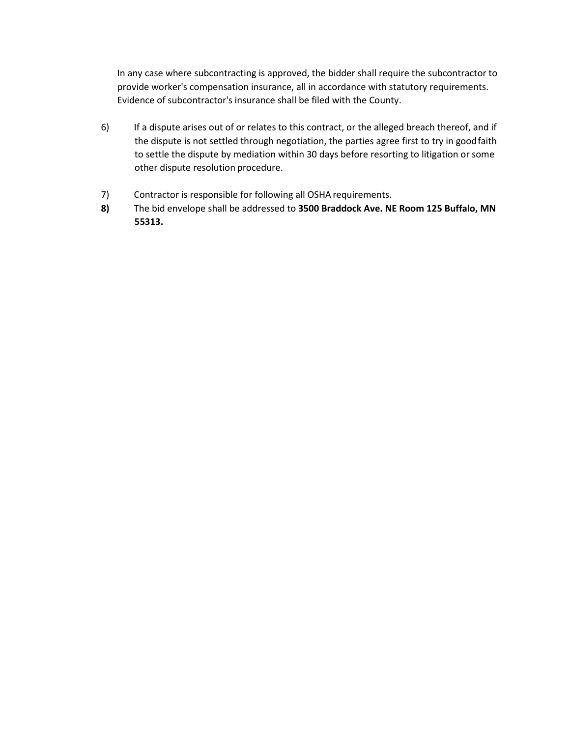In any case where subcontracting is approved, the bidder shall require the subcontractor to provide worker's compensation insurance, all in accordance with statutory requirements. Evidence of subcontractor's insurance shall be filed with the County.

- 6) If a dispute arises out of or relates to this contract, or the alleged breach thereof, and if the dispute is not settled through negotiation, the parties agree first to try in goodfaith to settle the dispute by mediation within 30 days before resorting to litigation or some other dispute resolution procedure.
- 7) Contractor is responsible for following all OSHA requirements.
- **8)** The bid envelope shall be addressed to **3500 Braddock Ave. NE Room 125 Buffalo, MN 55313.**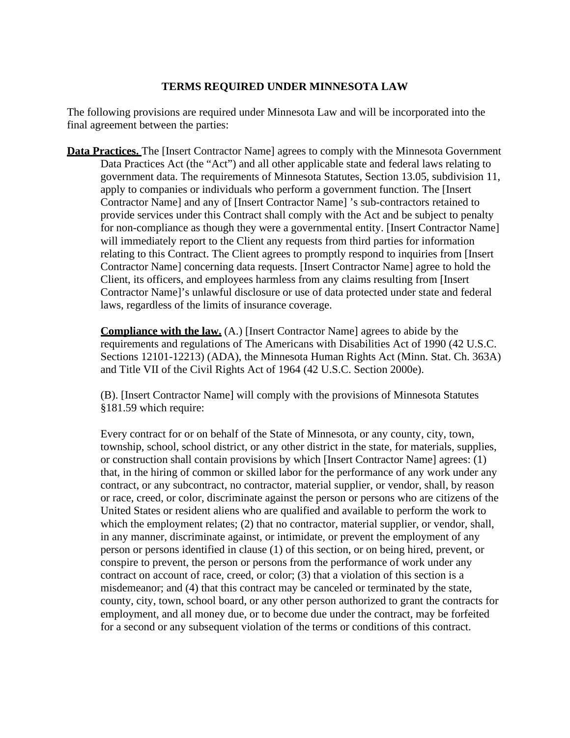### **TERMS REQUIRED UNDER MINNESOTA LAW**

The following provisions are required under Minnesota Law and will be incorporated into the final agreement between the parties:

**Data Practices.** The [Insert Contractor Name] agrees to comply with the Minnesota Government Data Practices Act (the "Act") and all other applicable state and federal laws relating to government data. The requirements of Minnesota Statutes, Section 13.05, subdivision 11, apply to companies or individuals who perform a government function. The [Insert Contractor Name] and any of [Insert Contractor Name] 's sub-contractors retained to provide services under this Contract shall comply with the Act and be subject to penalty for non-compliance as though they were a governmental entity. [Insert Contractor Name] will immediately report to the Client any requests from third parties for information relating to this Contract. The Client agrees to promptly respond to inquiries from [Insert Contractor Name] concerning data requests. [Insert Contractor Name] agree to hold the Client, its officers, and employees harmless from any claims resulting from [Insert Contractor Name]'s unlawful disclosure or use of data protected under state and federal laws, regardless of the limits of insurance coverage.

**Compliance with the law.** (A.) [Insert Contractor Name] agrees to abide by the requirements and regulations of The Americans with Disabilities Act of 1990 (42 U.S.C. Sections 12101-12213) (ADA), the Minnesota Human Rights Act (Minn. Stat. Ch. 363A) and Title VII of the Civil Rights Act of 1964 (42 U.S.C. Section 2000e).

(B). [Insert Contractor Name] will comply with the provisions of Minnesota Statutes §181.59 which require:

Every contract for or on behalf of the State of Minnesota, or any county, city, town, township, school, school district, or any other district in the state, for materials, supplies, or construction shall contain provisions by which [Insert Contractor Name] agrees: (1) that, in the hiring of common or skilled labor for the performance of any work under any contract, or any subcontract, no contractor, material supplier, or vendor, shall, by reason or race, creed, or color, discriminate against the person or persons who are citizens of the United States or resident aliens who are qualified and available to perform the work to which the employment relates; (2) that no contractor, material supplier, or vendor, shall, in any manner, discriminate against, or intimidate, or prevent the employment of any person or persons identified in clause (1) of this section, or on being hired, prevent, or conspire to prevent, the person or persons from the performance of work under any contract on account of race, creed, or color; (3) that a violation of this section is a misdemeanor; and (4) that this contract may be canceled or terminated by the state, county, city, town, school board, or any other person authorized to grant the contracts for employment, and all money due, or to become due under the contract, may be forfeited for a second or any subsequent violation of the terms or conditions of this contract.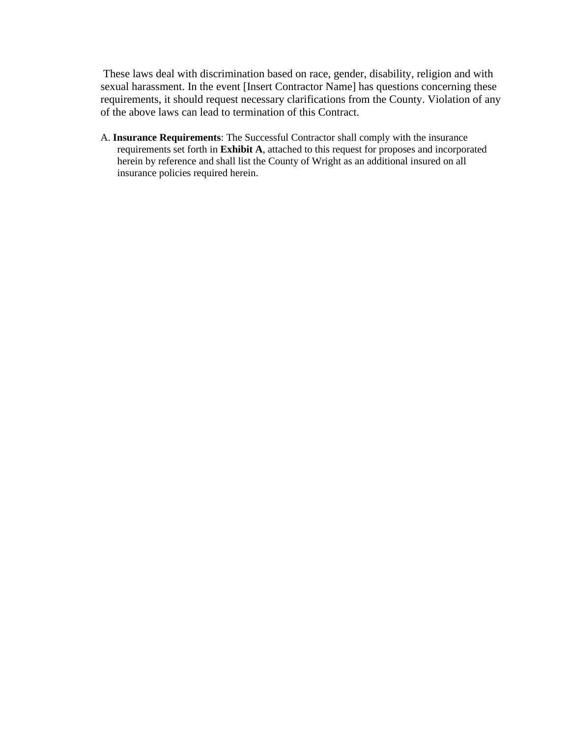These laws deal with discrimination based on race, gender, disability, religion and with sexual harassment. In the event [Insert Contractor Name] has questions concerning these requirements, it should request necessary clarifications from the County. Violation of any of the above laws can lead to termination of this Contract.

A. **Insurance Requirements**: The Successful Contractor shall comply with the insurance requirements set forth in **Exhibit A**, attached to this request for proposes and incorporated herein by reference and shall list the County of Wright as an additional insured on all insurance policies required herein.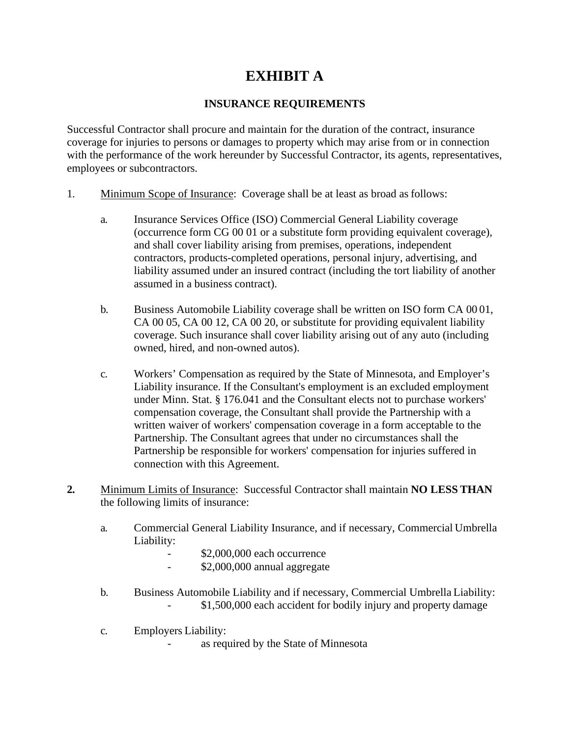# **EXHIBIT A**

### **INSURANCE REQUIREMENTS**

Successful Contractor shall procure and maintain for the duration of the contract, insurance coverage for injuries to persons or damages to property which may arise from or in connection with the performance of the work hereunder by Successful Contractor, its agents, representatives, employees or subcontractors.

- 1. Minimum Scope of Insurance: Coverage shall be at least as broad as follows:
	- a. Insurance Services Office (ISO) Commercial General Liability coverage (occurrence form CG 00 01 or a substitute form providing equivalent coverage), and shall cover liability arising from premises, operations, independent contractors, products-completed operations, personal injury, advertising, and liability assumed under an insured contract (including the tort liability of another assumed in a business contract).
	- b. Business Automobile Liability coverage shall be written on ISO form CA 00 01, CA 00 05, CA 00 12, CA 00 20, or substitute for providing equivalent liability coverage. Such insurance shall cover liability arising out of any auto (including owned, hired, and non-owned autos).
	- c. Workers' Compensation as required by the State of Minnesota, and Employer's Liability insurance. If the Consultant's employment is an excluded employment under Minn. Stat. § 176.041 and the Consultant elects not to purchase workers' compensation coverage, the Consultant shall provide the Partnership with a written waiver of workers' compensation coverage in a form acceptable to the Partnership. The Consultant agrees that under no circumstances shall the Partnership be responsible for workers' compensation for injuries suffered in connection with this Agreement.
- **2.** Minimum Limits of Insurance: Successful Contractor shall maintain **NO LESS THAN** the following limits of insurance:
	- a. Commercial General Liability Insurance, and if necessary, Commercial Umbrella Liability:
		- \$2,000,000 each occurrence
		- \$2,000,000 annual aggregate
	- b. Business Automobile Liability and if necessary, Commercial Umbrella Liability: \$1,500,000 each accident for bodily injury and property damage
	- c. Employers Liability:
		- as required by the State of Minnesota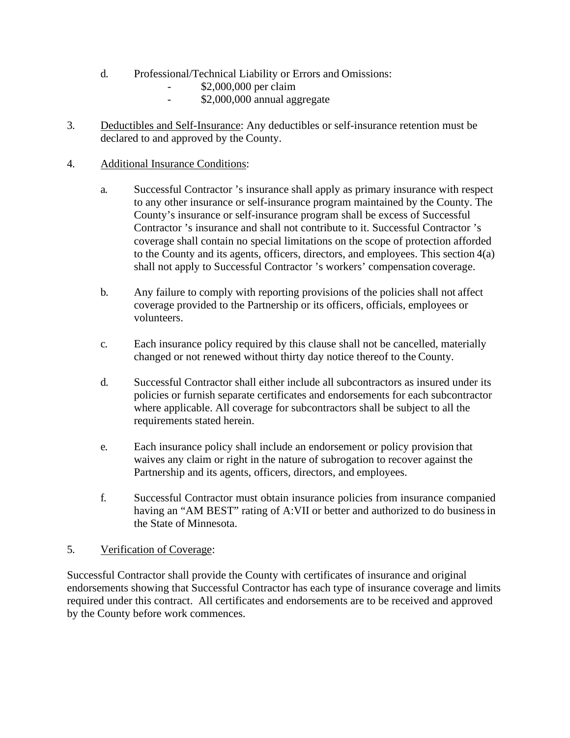- d. Professional/Technical Liability or Errors and Omissions:
	- \$2,000,000 per claim
	- \$2,000,000 annual aggregate
- 3. Deductibles and Self-Insurance: Any deductibles or self-insurance retention must be declared to and approved by the County.
- 4. Additional Insurance Conditions:
	- a. Successful Contractor 's insurance shall apply as primary insurance with respect to any other insurance or self-insurance program maintained by the County. The County's insurance or self-insurance program shall be excess of Successful Contractor 's insurance and shall not contribute to it. Successful Contractor 's coverage shall contain no special limitations on the scope of protection afforded to the County and its agents, officers, directors, and employees. This section 4(a) shall not apply to Successful Contractor 's workers' compensation coverage.
	- b. Any failure to comply with reporting provisions of the policies shall not affect coverage provided to the Partnership or its officers, officials, employees or volunteers.
	- c. Each insurance policy required by this clause shall not be cancelled, materially changed or not renewed without thirty day notice thereof to the County.
	- d. Successful Contractor shall either include all subcontractors as insured under its policies or furnish separate certificates and endorsements for each subcontractor where applicable. All coverage for subcontractors shall be subject to all the requirements stated herein.
	- e. Each insurance policy shall include an endorsement or policy provision that waives any claim or right in the nature of subrogation to recover against the Partnership and its agents, officers, directors, and employees.
	- f. Successful Contractor must obtain insurance policies from insurance companied having an "AM BEST" rating of A:VII or better and authorized to do businessin the State of Minnesota.

### 5. Verification of Coverage:

Successful Contractor shall provide the County with certificates of insurance and original endorsements showing that Successful Contractor has each type of insurance coverage and limits required under this contract. All certificates and endorsements are to be received and approved by the County before work commences.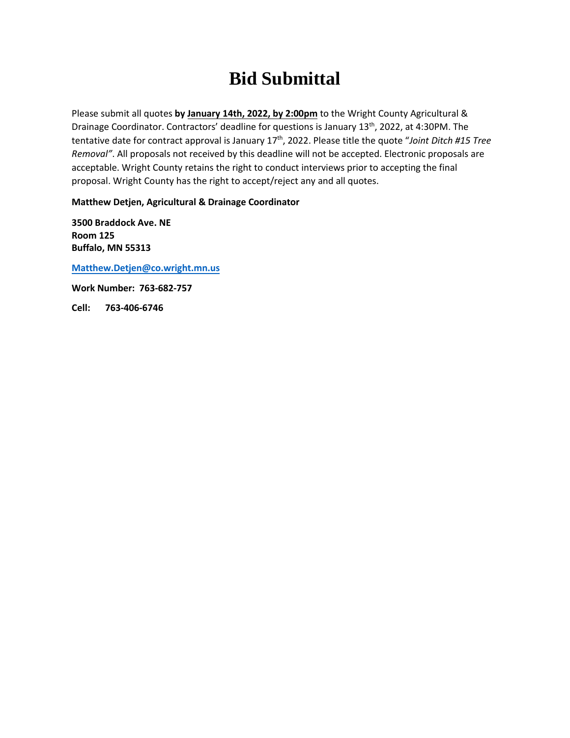# **Bid Submittal**

Please submit all quotes **by January 14th, 2022, by 2:00pm** to the Wright County Agricultural & Drainage Coordinator. Contractors' deadline for questions is January 13<sup>th</sup>, 2022, at 4:30PM. The tentative date for contract approval is January 17<sup>th</sup>, 2022. Please title the quote "Joint Ditch #15 Tree *Removal"*. All proposals not received by this deadline will not be accepted. Electronic proposals are acceptable. Wright County retains the right to conduct interviews prior to accepting the final proposal. Wright County has the right to accept/reject any and all quotes.

**Matthew Detjen, Agricultural & Drainage Coordinator** 

**3500 Braddock Ave. NE Room 125 Buffalo, MN 55313** 

**Matthew.Detjen@co.wright.mn.us**

**[Work Number: 763-682-757](mailto:Matthew.Detjen@co.wright.mn.us)  Cell: 763-406-6746**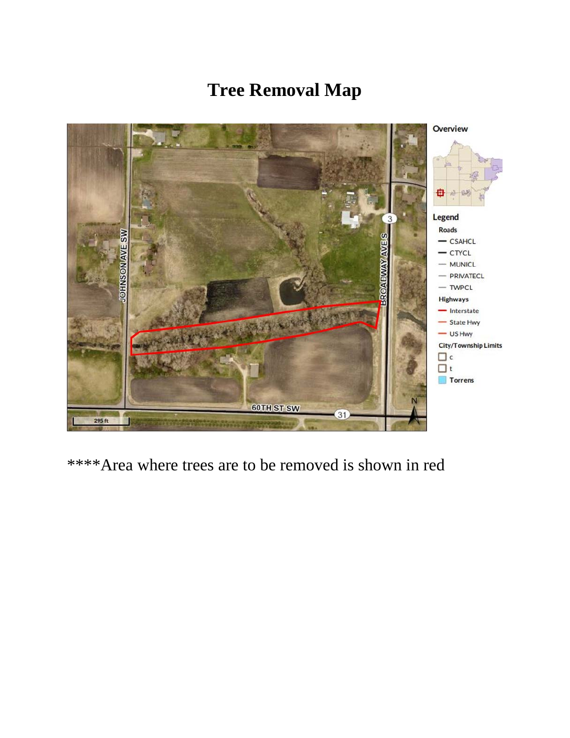# **Tree Removal Map**



\*\*\*\*Area where trees are to be removed is shown in red